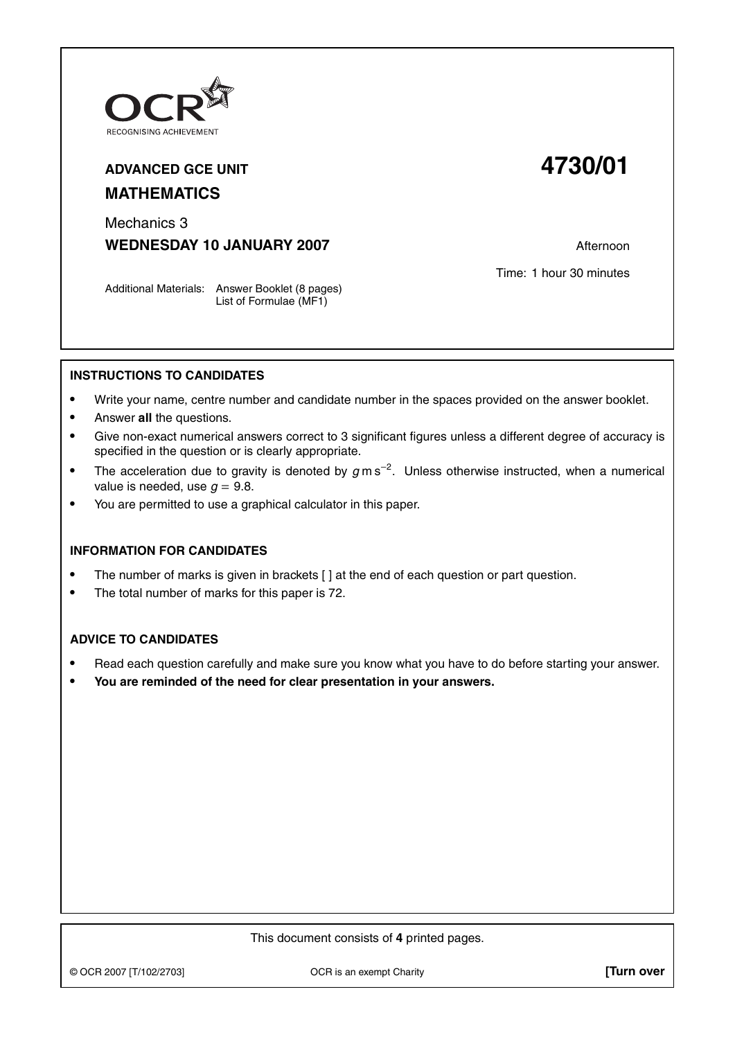

# **ADVANCED GCE UNIT 4730/01 MATHEMATICS**

Mechanics 3

**WEDNESDAY 10 JANUARY 2007** Afternoon

Time: 1 hour 30 minutes

Additional Materials: Answer Booklet (8 pages) List of Formulae (MF1)

# **INSTRUCTIONS TO CANDIDATES**

- **•** Write your name, centre number and candidate number in the spaces provided on the answer booklet.
- **•** Answer **all** the questions.
- **•** Give non-exact numerical answers correct to 3 significant figures unless a different degree of accuracy is specified in the question or is clearly appropriate.
- **•** The acceleration due to gravity is denoted by <sup>g</sup> m s−<sup>2</sup> . Unless otherwise instructed, when a numerical value is needed, use  $g = 9.8$ .
- **•** You are permitted to use a graphical calculator in this paper.

### **INFORMATION FOR CANDIDATES**

- The number of marks is given in brackets  $\lceil \cdot \rceil$  at the end of each question or part question.
- **•** The total number of marks for this paper is 72.

### **ADVICE TO CANDIDATES**

- **•** Read each question carefully and make sure you know what you have to do before starting your answer.
- **• You are reminded of the need for clear presentation in your answers.**

#### This document consists of **4** printed pages.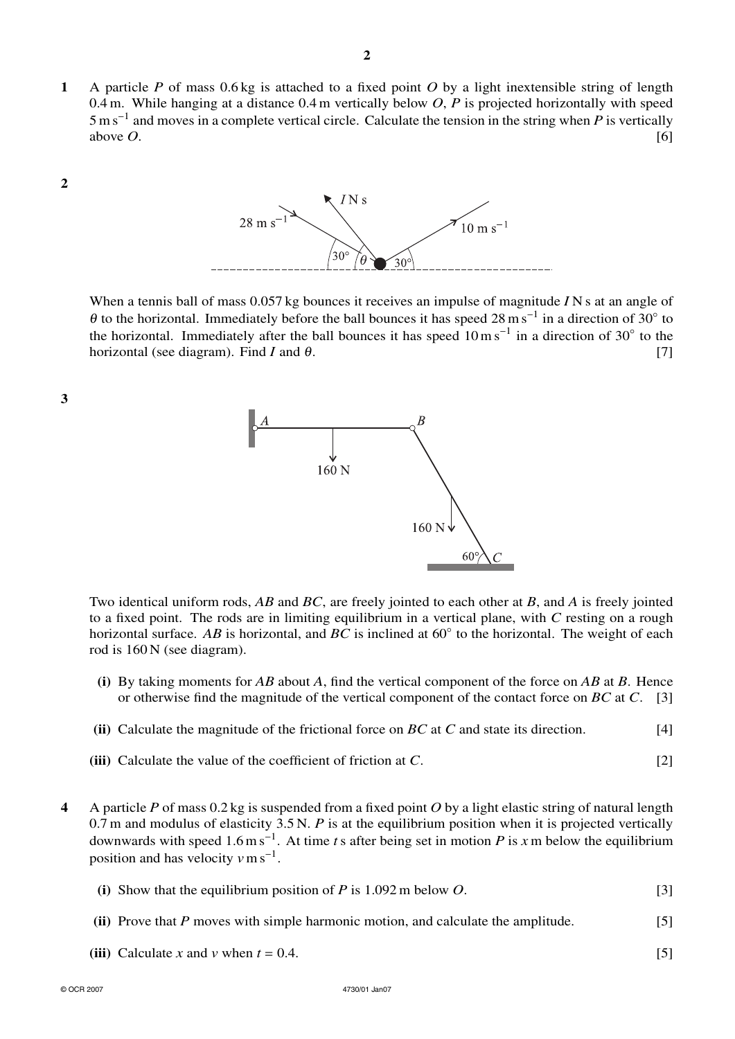**1** A particle *P* of mass 0.6 kg is attached to a fixed point *O* by a light inextensible string of length 0.4 m. While hanging at a distance 0.4 m vertically below *O*, *P* is projected horizontally with speed 5ms<sup>−</sup><sup>1</sup> and moves in a complete vertical circle. Calculate the tension in the string when *P* is vertically above  $O$ .  $[6]$ 



**3**



When a tennis ball of mass 0.057 kg bounces it receives an impulse of magnitude *I* N s at an angle of  $\theta$  to the horizontal. Immediately before the ball bounces it has speed 28 m s<sup>−1</sup> in a direction of 30° to the horizontal. Immediately after the ball bounces it has speed  $10 \text{ m s}^{-1}$  in a direction of 30° to the horizontal (see diagram). Find *I* and  $\theta$ . [7]



Two identical uniform rods, *AB* and *BC*, are freely jointed to each other at *B*, and *A* is freely jointed to a fixed point. The rods are in limiting equilibrium in a vertical plane, with *C* resting on a rough horizontal surface. *AB* is horizontal, and *BC* is inclined at 60◦ to the horizontal. The weight of each rod is 160 N (see diagram).

- **(i)** By taking moments for *AB* about *A*, find the vertical component of the force on *AB* at *B*. Hence or otherwise find the magnitude of the vertical component of the contact force on *BC* at *C*. [3]
- **(ii)** Calculate the magnitude of the frictional force on *BC* at *C* and state its direction. [4]
- **(iii)** Calculate the value of the coefficient of friction at *C*. [2]
- **4** A particle *P* of mass 0.2 kg is suspended from a fixed point *O* by a light elastic string of natural length 0.7 m and modulus of elasticity 3.5 N. *P* is at the equilibrium position when it is projected vertically downwards with speed 1.6 m s<sup>−</sup><sup>1</sup> . At time *t*s after being set in motion *P* is *x* m below the equilibrium position and has velocity  $v \text{ m s}^{-1}$ .

|  | (i) Show that the equilibrium position of P is $1.092$ m below O. |  |
|--|-------------------------------------------------------------------|--|
|  |                                                                   |  |

- **(ii)** Prove that *P* moves with simple harmonic motion, and calculate the amplitude. [5]
- **(iii)** Calculate *x* and *v* when  $t = 0.4$ . [5]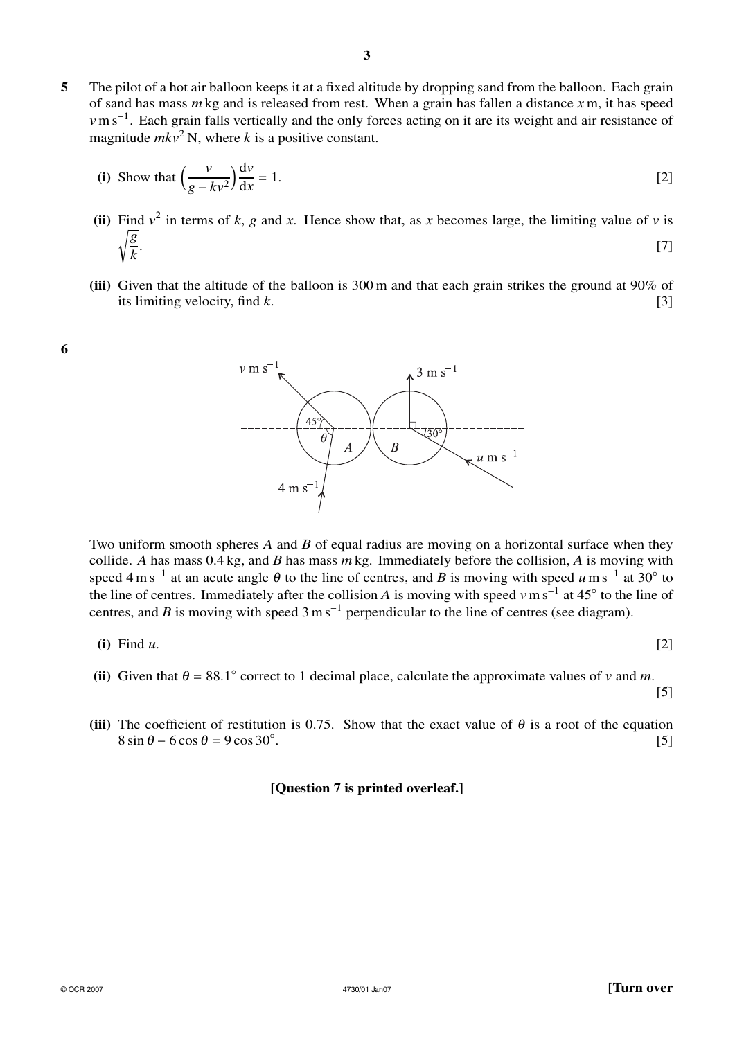**5** The pilot of a hot air balloon keeps it at a fixed altitude by dropping sand from the balloon. Each grain of sand has mass *m* kg and is released from rest. When a grain has fallen a distance *x* m, it has speed *v*m s<sup>-1</sup>. Each grain falls vertically and the only forces acting on it are its weight and air resistance of magnitude  $mkv^2$  N, where *k* is a positive constant.

(i) Show that 
$$
\left(\frac{v}{g - kv^2}\right) \frac{dv}{dx} = 1.
$$
 [2]

- (ii) Find  $v^2$  in terms of *k*, *g* and *x*. Hence show that, as *x* becomes large, the limiting value of *v* is *g k* . The contract of the contract of the contract of the contract of  $[7]$
- **(iii)** Given that the altitude of the balloon is 300 m and that each grain strikes the ground at 90% of its limiting velocity, find *k*. [3]



Two uniform smooth spheres *A* and *B* of equal radius are moving on a horizontal surface when they collide. *A* has mass 0.4 kg, and *B* has mass *m* kg. Immediately before the collision, *A* is moving with speed 4 m s<sup>−1</sup> at an acute angle  $\theta$  to the line of centres, and *B* is moving with speed *u*m s<sup>−1</sup> at 30° to the line of centres. Immediately after the collision *A* is moving with speed *v*m s<sup>−</sup><sup>1</sup> at 45◦ to the line of centres, and *B* is moving with speed  $3 \text{ m s}^{-1}$  perpendicular to the line of centres (see diagram).

$$
(i) Find u. \tag{2}
$$

**6**

[5]

- (ii) Given that  $\theta = 88.1^\circ$  correct to 1 decimal place, calculate the approximate values of *v* and *m*.
- **(iii)** The coefficient of restitution is 0.75. Show that the exact value of  $\theta$  is a root of the equation  $8 \sin \theta - 6 \cos \theta = 9 \cos 30^\circ$ . .  $[5]$

# **[Question 7 is printed overleaf.]**